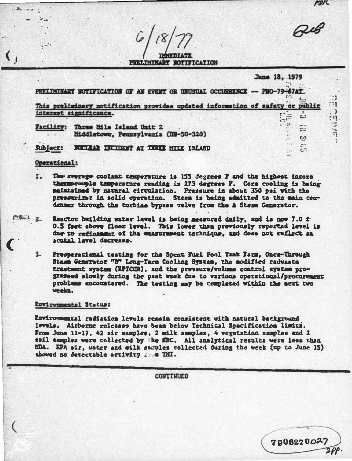PRELIMINARY NOTIFICATION

June 18, 1979 PRELIMINARY NOTIFICATION OF AN EVERT OR UNUSUAL OCCURRENCE -- PNO-79-67AT. This preliminary notification provides updated information of safety or public interest significance. SÈ c.

**PDIC** 

्री

 $\cdot$ 

 $\frac{1}{2}$ 

 $\ddot{\ddot{\phantom{.}}}\,$ 

 $\Xi$ 

 $\omega$ 

 $\overline{c}$ 

790627002

Facility: Three Mile Island Unit 2 Middletown, Pennsylvania (UN-50-320)

## FUERALE ENGINEER AT THEIR MILE ISLAED Subject:

## Operational:

- r. The sverage coolant temperature is 155 degrees T and the highest incore thermocouple temperature reading is 273 degrees F. Core cooling is being maintained by matural circulation. Pressure is about 350 psi with the presenting in solid operation. Stess is being admitted to the main comdenser through the turbine bypess valve from the A Steam Constator.
- PEC1 2. Reactor building water level is being measured daily, and is now 7.0  $\pm$ 0.5 feet above floor level. This lower than previously reported level is due to refinement of the consumment technique, and does not reflect an acutal level decrease.
	- $3.$ Presperational testing for the Spent Fuel Pool Tank Farm, Once-Through Stamm Generator "B" Long-Term Cooling System, the modified raduasta trestment system (RPICUR), and the pressure/volume control system prograssed slowly during the past week due to various operational/procurement problems encountered. The testing may be completed within the next two veela.

## Rowiropmental Status:

Revirosmental radiation levels remain consistent with natural background levels. Airborne releases have been below Technical Spacification limits. From June 11-17, 42 air samples, 2 milk samples, 4 vegetation samples and 2 soil samples were collected by the MRC. All analytical results were less than HDA. EPA sir, water and wilk samples collected during the week (up to June 15) aboved no detectable activity from ThI.

**CONTINUED**